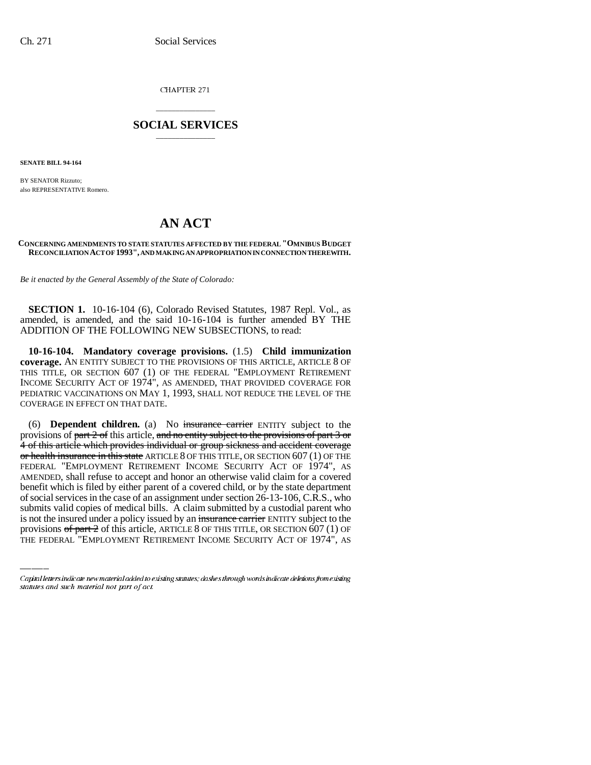CHAPTER 271

## \_\_\_\_\_\_\_\_\_\_\_\_\_\_\_ **SOCIAL SERVICES** \_\_\_\_\_\_\_\_\_\_\_\_\_\_\_

**SENATE BILL 94-164**

BY SENATOR Rizzuto; also REPRESENTATIVE Romero.

# **AN ACT**

#### **CONCERNING AMENDMENTS TO STATE STATUTES AFFECTED BY THE FEDERAL "OMNIBUS BUDGET RECONCILIATION ACT OF 1993", AND MAKING AN APPROPRIATION IN CONNECTION THEREWITH.**

*Be it enacted by the General Assembly of the State of Colorado:*

**SECTION 1.** 10-16-104 (6), Colorado Revised Statutes, 1987 Repl. Vol., as amended, is amended, and the said 10-16-104 is further amended BY THE ADDITION OF THE FOLLOWING NEW SUBSECTIONS, to read:

**10-16-104. Mandatory coverage provisions.** (1.5) **Child immunization coverage.** AN ENTITY SUBJECT TO THE PROVISIONS OF THIS ARTICLE, ARTICLE 8 OF THIS TITLE, OR SECTION 607 (1) OF THE FEDERAL "EMPLOYMENT RETIREMENT INCOME SECURITY ACT OF 1974", AS AMENDED, THAT PROVIDED COVERAGE FOR PEDIATRIC VACCINATIONS ON MAY 1, 1993, SHALL NOT REDUCE THE LEVEL OF THE COVERAGE IN EFFECT ON THAT DATE.

of social services in the case of an assignment under section 26-13-106, C.R.S., who (6) **Dependent children.** (a) No insurance carrier ENTITY subject to the provisions of part  $2$  of this article, and no entity subject to the provisions of part  $3$  or 4 of this article which provides individual or group sickness and accident coverage or health insurance in this state ARTICLE 8 OF THIS TITLE, OR SECTION 607 (1) OF THE FEDERAL "EMPLOYMENT RETIREMENT INCOME SECURITY ACT OF 1974", AS AMENDED, shall refuse to accept and honor an otherwise valid claim for a covered benefit which is filed by either parent of a covered child, or by the state department submits valid copies of medical bills. A claim submitted by a custodial parent who is not the insured under a policy issued by an insurance carrier ENTITY subject to the provisions  $\sigma f$  part  $2$  of this article, ARTICLE 8 OF THIS TITLE, OR SECTION 607 (1) OF THE FEDERAL "EMPLOYMENT RETIREMENT INCOME SECURITY ACT OF 1974", AS

Capital letters indicate new material added to existing statutes; dashes through words indicate deletions from existing statutes and such material not part of act.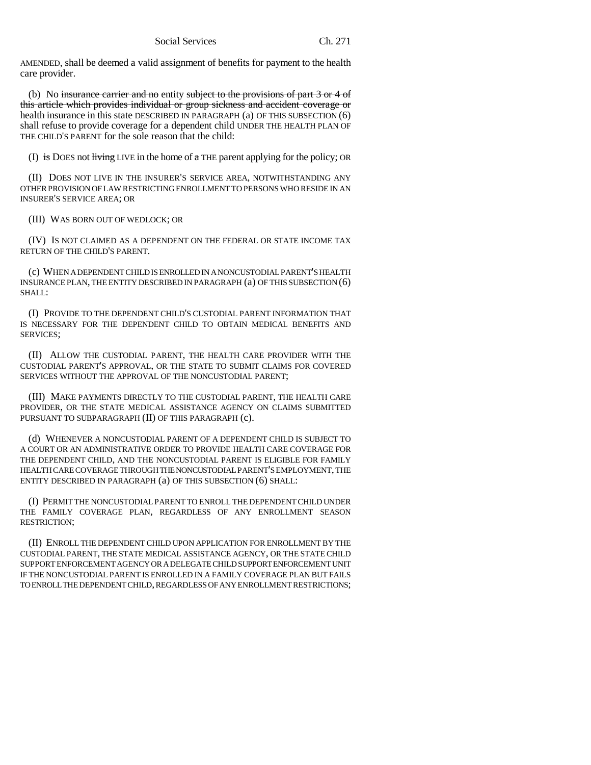AMENDED, shall be deemed a valid assignment of benefits for payment to the health care provider.

(b) No insurance carrier and no entity subject to the provisions of part  $3$  or  $4$  of this article which provides individual or group sickness and accident coverage or health insurance in this state DESCRIBED IN PARAGRAPH (a) OF THIS SUBSECTION (6) shall refuse to provide coverage for a dependent child UNDER THE HEALTH PLAN OF THE CHILD'S PARENT for the sole reason that the child:

(I) is DOES not living LIVE in the home of  $\alpha$  THE parent applying for the policy; OR

(II) DOES NOT LIVE IN THE INSURER'S SERVICE AREA, NOTWITHSTANDING ANY OTHER PROVISION OF LAW RESTRICTING ENROLLMENT TO PERSONS WHO RESIDE IN AN INSURER'S SERVICE AREA; OR

(III) WAS BORN OUT OF WEDLOCK; OR

(IV) IS NOT CLAIMED AS A DEPENDENT ON THE FEDERAL OR STATE INCOME TAX RETURN OF THE CHILD'S PARENT.

(c) WHEN A DEPENDENT CHILD IS ENROLLED IN A NONCUSTODIAL PARENT'S HEALTH INSURANCE PLAN, THE ENTITY DESCRIBED IN PARAGRAPH (a) OF THIS SUBSECTION (6) SHALL:

(I) PROVIDE TO THE DEPENDENT CHILD'S CUSTODIAL PARENT INFORMATION THAT IS NECESSARY FOR THE DEPENDENT CHILD TO OBTAIN MEDICAL BENEFITS AND SERVICES;

(II) ALLOW THE CUSTODIAL PARENT, THE HEALTH CARE PROVIDER WITH THE CUSTODIAL PARENT'S APPROVAL, OR THE STATE TO SUBMIT CLAIMS FOR COVERED SERVICES WITHOUT THE APPROVAL OF THE NONCUSTODIAL PARENT;

(III) MAKE PAYMENTS DIRECTLY TO THE CUSTODIAL PARENT, THE HEALTH CARE PROVIDER, OR THE STATE MEDICAL ASSISTANCE AGENCY ON CLAIMS SUBMITTED PURSUANT TO SUBPARAGRAPH (II) OF THIS PARAGRAPH (c).

(d) WHENEVER A NONCUSTODIAL PARENT OF A DEPENDENT CHILD IS SUBJECT TO A COURT OR AN ADMINISTRATIVE ORDER TO PROVIDE HEALTH CARE COVERAGE FOR THE DEPENDENT CHILD, AND THE NONCUSTODIAL PARENT IS ELIGIBLE FOR FAMILY HEALTH CARE COVERAGE THROUGH THE NONCUSTODIAL PARENT'S EMPLOYMENT, THE ENTITY DESCRIBED IN PARAGRAPH (a) OF THIS SUBSECTION (6) SHALL:

(I) PERMIT THE NONCUSTODIAL PARENT TO ENROLL THE DEPENDENT CHILD UNDER THE FAMILY COVERAGE PLAN, REGARDLESS OF ANY ENROLLMENT SEASON RESTRICTION;

(II) ENROLL THE DEPENDENT CHILD UPON APPLICATION FOR ENROLLMENT BY THE CUSTODIAL PARENT, THE STATE MEDICAL ASSISTANCE AGENCY, OR THE STATE CHILD SUPPORT ENFORCEMENT AGENCY OR A DELEGATE CHILD SUPPORT ENFORCEMENT UNIT IF THE NONCUSTODIAL PARENT IS ENROLLED IN A FAMILY COVERAGE PLAN BUT FAILS TO ENROLL THE DEPENDENT CHILD, REGARDLESS OF ANY ENROLLMENT RESTRICTIONS;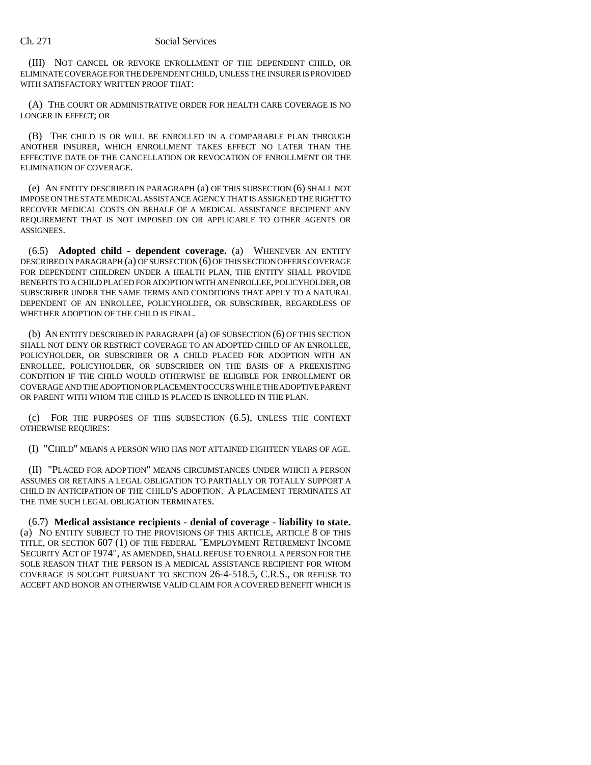(III) NOT CANCEL OR REVOKE ENROLLMENT OF THE DEPENDENT CHILD, OR ELIMINATE COVERAGE FOR THE DEPENDENT CHILD, UNLESS THE INSURER IS PROVIDED WITH SATISFACTORY WRITTEN PROOF THAT:

(A) THE COURT OR ADMINISTRATIVE ORDER FOR HEALTH CARE COVERAGE IS NO LONGER IN EFFECT; OR

(B) THE CHILD IS OR WILL BE ENROLLED IN A COMPARABLE PLAN THROUGH ANOTHER INSURER, WHICH ENROLLMENT TAKES EFFECT NO LATER THAN THE EFFECTIVE DATE OF THE CANCELLATION OR REVOCATION OF ENROLLMENT OR THE ELIMINATION OF COVERAGE.

(e) AN ENTITY DESCRIBED IN PARAGRAPH (a) OF THIS SUBSECTION (6) SHALL NOT IMPOSE ON THE STATE MEDICAL ASSISTANCE AGENCY THAT IS ASSIGNED THE RIGHT TO RECOVER MEDICAL COSTS ON BEHALF OF A MEDICAL ASSISTANCE RECIPIENT ANY REQUIREMENT THAT IS NOT IMPOSED ON OR APPLICABLE TO OTHER AGENTS OR ASSIGNEES.

(6.5) **Adopted child - dependent coverage.** (a) WHENEVER AN ENTITY DESCRIBED IN PARAGRAPH (a) OF SUBSECTION (6) OF THIS SECTION OFFERS COVERAGE FOR DEPENDENT CHILDREN UNDER A HEALTH PLAN, THE ENTITY SHALL PROVIDE BENEFITS TO A CHILD PLACED FOR ADOPTION WITH AN ENROLLEE, POLICYHOLDER, OR SUBSCRIBER UNDER THE SAME TERMS AND CONDITIONS THAT APPLY TO A NATURAL DEPENDENT OF AN ENROLLEE, POLICYHOLDER, OR SUBSCRIBER, REGARDLESS OF WHETHER ADOPTION OF THE CHILD IS FINAL.

(b) AN ENTITY DESCRIBED IN PARAGRAPH (a) OF SUBSECTION (6) OF THIS SECTION SHALL NOT DENY OR RESTRICT COVERAGE TO AN ADOPTED CHILD OF AN ENROLLEE, POLICYHOLDER, OR SUBSCRIBER OR A CHILD PLACED FOR ADOPTION WITH AN ENROLLEE, POLICYHOLDER, OR SUBSCRIBER ON THE BASIS OF A PREEXISTING CONDITION IF THE CHILD WOULD OTHERWISE BE ELIGIBLE FOR ENROLLMENT OR COVERAGE AND THE ADOPTION OR PLACEMENT OCCURS WHILE THE ADOPTIVE PARENT OR PARENT WITH WHOM THE CHILD IS PLACED IS ENROLLED IN THE PLAN.

(c) FOR THE PURPOSES OF THIS SUBSECTION (6.5), UNLESS THE CONTEXT OTHERWISE REQUIRES:

(I) "CHILD" MEANS A PERSON WHO HAS NOT ATTAINED EIGHTEEN YEARS OF AGE.

(II) "PLACED FOR ADOPTION" MEANS CIRCUMSTANCES UNDER WHICH A PERSON ASSUMES OR RETAINS A LEGAL OBLIGATION TO PARTIALLY OR TOTALLY SUPPORT A CHILD IN ANTICIPATION OF THE CHILD'S ADOPTION. A PLACEMENT TERMINATES AT THE TIME SUCH LEGAL OBLIGATION TERMINATES.

(6.7) **Medical assistance recipients - denial of coverage - liability to state.** (a) NO ENTITY SUBJECT TO THE PROVISIONS OF THIS ARTICLE, ARTICLE 8 OF THIS TITLE, OR SECTION 607 (1) OF THE FEDERAL "EMPLOYMENT RETIREMENT INCOME SECURITY ACT OF 1974", AS AMENDED, SHALL REFUSE TO ENROLL A PERSON FOR THE SOLE REASON THAT THE PERSON IS A MEDICAL ASSISTANCE RECIPIENT FOR WHOM COVERAGE IS SOUGHT PURSUANT TO SECTION 26-4-518.5, C.R.S., OR REFUSE TO ACCEPT AND HONOR AN OTHERWISE VALID CLAIM FOR A COVERED BENEFIT WHICH IS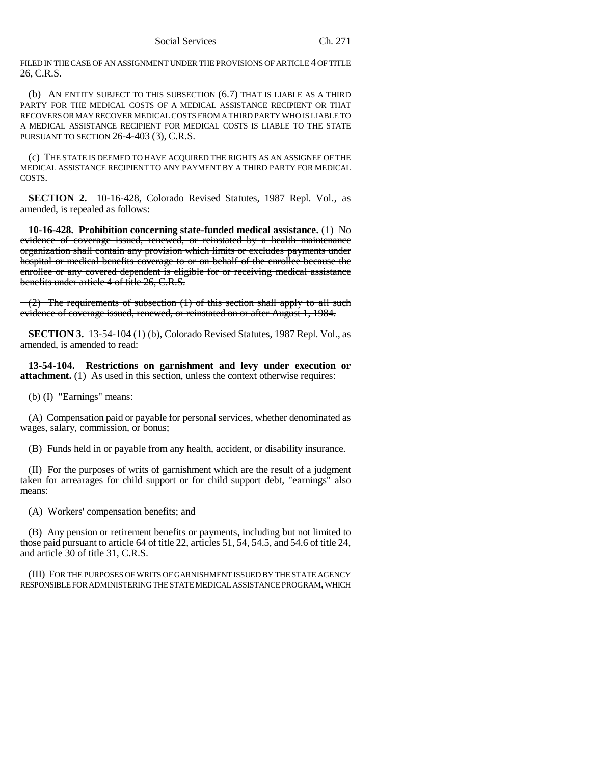FILED IN THE CASE OF AN ASSIGNMENT UNDER THE PROVISIONS OF ARTICLE 4 OF TITLE 26, C.R.S.

(b) AN ENTITY SUBJECT TO THIS SUBSECTION (6.7) THAT IS LIABLE AS A THIRD PARTY FOR THE MEDICAL COSTS OF A MEDICAL ASSISTANCE RECIPIENT OR THAT RECOVERS OR MAY RECOVER MEDICAL COSTS FROM A THIRD PARTY WHO IS LIABLE TO A MEDICAL ASSISTANCE RECIPIENT FOR MEDICAL COSTS IS LIABLE TO THE STATE PURSUANT TO SECTION 26-4-403 (3), C.R.S.

(c) THE STATE IS DEEMED TO HAVE ACQUIRED THE RIGHTS AS AN ASSIGNEE OF THE MEDICAL ASSISTANCE RECIPIENT TO ANY PAYMENT BY A THIRD PARTY FOR MEDICAL COSTS.

**SECTION 2.** 10-16-428, Colorado Revised Statutes, 1987 Repl. Vol., as amended, is repealed as follows:

**10-16-428. Prohibition concerning state-funded medical assistance.** (1) No evidence of coverage issued, renewed, or reinstated by a health maintenance organization shall contain any provision which limits or excludes payments under hospital or medical benefits coverage to or on behalf of the enrollee because the enrollee or any covered dependent is eligible for or receiving medical assistance benefits under article 4 of title 26, C.R.S.

(2) The requirements of subsection (1) of this section shall apply to all such evidence of coverage issued, renewed, or reinstated on or after August 1, 1984.

**SECTION 3.** 13-54-104 (1) (b), Colorado Revised Statutes, 1987 Repl. Vol., as amended, is amended to read:

**13-54-104. Restrictions on garnishment and levy under execution or attachment.** (1) As used in this section, unless the context otherwise requires:

(b) (I) "Earnings" means:

(A) Compensation paid or payable for personal services, whether denominated as wages, salary, commission, or bonus;

(B) Funds held in or payable from any health, accident, or disability insurance.

(II) For the purposes of writs of garnishment which are the result of a judgment taken for arrearages for child support or for child support debt, "earnings" also means:

(A) Workers' compensation benefits; and

(B) Any pension or retirement benefits or payments, including but not limited to those paid pursuant to article 64 of title 22, articles 51, 54, 54.5, and 54.6 of title 24, and article 30 of title 31, C.R.S.

(III) FOR THE PURPOSES OF WRITS OF GARNISHMENT ISSUED BY THE STATE AGENCY RESPONSIBLE FOR ADMINISTERING THE STATE MEDICAL ASSISTANCE PROGRAM, WHICH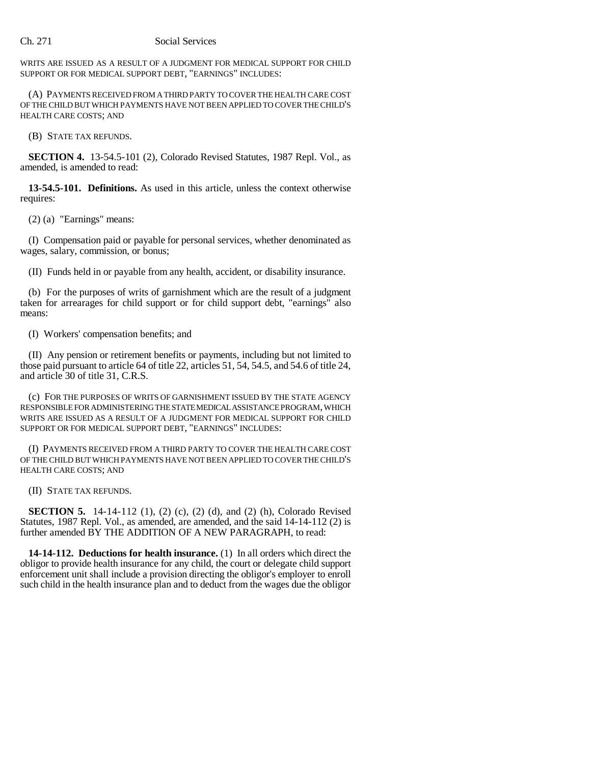WRITS ARE ISSUED AS A RESULT OF A JUDGMENT FOR MEDICAL SUPPORT FOR CHILD SUPPORT OR FOR MEDICAL SUPPORT DEBT, "EARNINGS" INCLUDES:

(A) PAYMENTS RECEIVED FROM A THIRD PARTY TO COVER THE HEALTH CARE COST OF THE CHILD BUT WHICH PAYMENTS HAVE NOT BEEN APPLIED TO COVER THE CHILD'S HEALTH CARE COSTS; AND

(B) STATE TAX REFUNDS.

**SECTION 4.** 13-54.5-101 (2), Colorado Revised Statutes, 1987 Repl. Vol., as amended, is amended to read:

**13-54.5-101. Definitions.** As used in this article, unless the context otherwise requires:

(2) (a) "Earnings" means:

(I) Compensation paid or payable for personal services, whether denominated as wages, salary, commission, or bonus;

(II) Funds held in or payable from any health, accident, or disability insurance.

(b) For the purposes of writs of garnishment which are the result of a judgment taken for arrearages for child support or for child support debt, "earnings" also means:

(I) Workers' compensation benefits; and

(II) Any pension or retirement benefits or payments, including but not limited to those paid pursuant to article 64 of title 22, articles 51, 54, 54.5, and 54.6 of title 24, and article 30 of title 31, C.R.S.

(c) FOR THE PURPOSES OF WRITS OF GARNISHMENT ISSUED BY THE STATE AGENCY RESPONSIBLE FOR ADMINISTERING THE STATE MEDICAL ASSISTANCE PROGRAM, WHICH WRITS ARE ISSUED AS A RESULT OF A JUDGMENT FOR MEDICAL SUPPORT FOR CHILD SUPPORT OR FOR MEDICAL SUPPORT DEBT, "EARNINGS" INCLUDES:

(I) PAYMENTS RECEIVED FROM A THIRD PARTY TO COVER THE HEALTH CARE COST OF THE CHILD BUT WHICH PAYMENTS HAVE NOT BEEN APPLIED TO COVER THE CHILD'S HEALTH CARE COSTS; AND

(II) STATE TAX REFUNDS.

**SECTION 5.** 14-14-112 (1), (2) (c), (2) (d), and (2) (h), Colorado Revised Statutes, 1987 Repl. Vol., as amended, are amended, and the said 14-14-112 (2) is further amended BY THE ADDITION OF A NEW PARAGRAPH, to read:

**14-14-112. Deductions for health insurance.** (1) In all orders which direct the obligor to provide health insurance for any child, the court or delegate child support enforcement unit shall include a provision directing the obligor's employer to enroll such child in the health insurance plan and to deduct from the wages due the obligor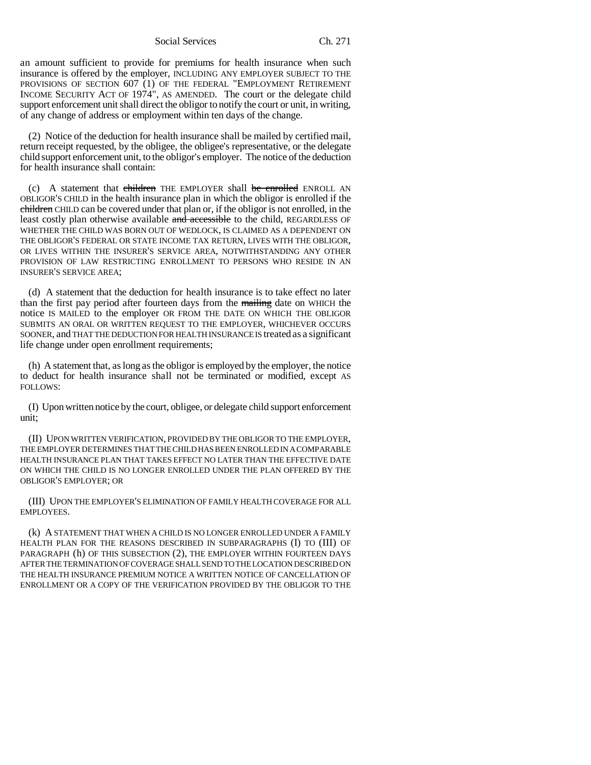Social Services Ch. 271

an amount sufficient to provide for premiums for health insurance when such insurance is offered by the employer, INCLUDING ANY EMPLOYER SUBJECT TO THE PROVISIONS OF SECTION 607 (1) OF THE FEDERAL "EMPLOYMENT RETIREMENT INCOME SECURITY ACT OF 1974", AS AMENDED. The court or the delegate child support enforcement unit shall direct the obligor to notify the court or unit, in writing, of any change of address or employment within ten days of the change.

(2) Notice of the deduction for health insurance shall be mailed by certified mail, return receipt requested, by the obligee, the obligee's representative, or the delegate child support enforcement unit, to the obligor's employer. The notice of the deduction for health insurance shall contain:

(c) A statement that children THE EMPLOYER shall be enrolled ENROLL AN OBLIGOR'S CHILD in the health insurance plan in which the obligor is enrolled if the children CHILD can be covered under that plan or, if the obligor is not enrolled, in the least costly plan otherwise available and accessible to the child, REGARDLESS OF WHETHER THE CHILD WAS BORN OUT OF WEDLOCK, IS CLAIMED AS A DEPENDENT ON THE OBLIGOR'S FEDERAL OR STATE INCOME TAX RETURN, LIVES WITH THE OBLIGOR, OR LIVES WITHIN THE INSURER'S SERVICE AREA, NOTWITHSTANDING ANY OTHER PROVISION OF LAW RESTRICTING ENROLLMENT TO PERSONS WHO RESIDE IN AN INSURER'S SERVICE AREA;

(d) A statement that the deduction for health insurance is to take effect no later than the first pay period after fourteen days from the mailing date on WHICH the notice IS MAILED to the employer OR FROM THE DATE ON WHICH THE OBLIGOR SUBMITS AN ORAL OR WRITTEN REQUEST TO THE EMPLOYER, WHICHEVER OCCURS SOONER, and THAT THE DEDUCTION FOR HEALTH INSURANCE IS treated as a significant life change under open enrollment requirements;

(h) A statement that, as long as the obligor is employed by the employer, the notice to deduct for health insurance shall not be terminated or modified, except AS FOLLOWS:

(I) Upon written notice by the court, obligee, or delegate child support enforcement unit;

(II) UPON WRITTEN VERIFICATION, PROVIDED BY THE OBLIGOR TO THE EMPLOYER, THE EMPLOYER DETERMINES THAT THE CHILD HAS BEEN ENROLLED IN A COMPARABLE HEALTH INSURANCE PLAN THAT TAKES EFFECT NO LATER THAN THE EFFECTIVE DATE ON WHICH THE CHILD IS NO LONGER ENROLLED UNDER THE PLAN OFFERED BY THE OBLIGOR'S EMPLOYER; OR

(III) UPON THE EMPLOYER'S ELIMINATION OF FAMILY HEALTH COVERAGE FOR ALL EMPLOYEES.

(k) A STATEMENT THAT WHEN A CHILD IS NO LONGER ENROLLED UNDER A FAMILY HEALTH PLAN FOR THE REASONS DESCRIBED IN SUBPARAGRAPHS (I) TO (III) OF PARAGRAPH (h) OF THIS SUBSECTION (2), THE EMPLOYER WITHIN FOURTEEN DAYS AFTER THE TERMINATION OF COVERAGE SHALL SEND TO THE LOCATION DESCRIBED ON THE HEALTH INSURANCE PREMIUM NOTICE A WRITTEN NOTICE OF CANCELLATION OF ENROLLMENT OR A COPY OF THE VERIFICATION PROVIDED BY THE OBLIGOR TO THE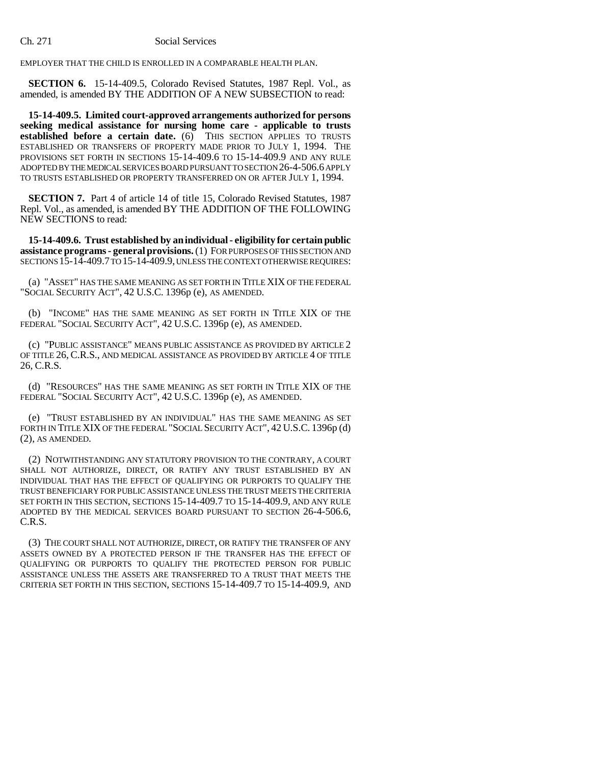EMPLOYER THAT THE CHILD IS ENROLLED IN A COMPARABLE HEALTH PLAN.

**SECTION 6.** 15-14-409.5, Colorado Revised Statutes, 1987 Repl. Vol., as amended, is amended BY THE ADDITION OF A NEW SUBSECTION to read:

**15-14-409.5. Limited court-approved arrangements authorized for persons seeking medical assistance for nursing home care - applicable to trusts established before a certain date.** (6) THIS SECTION APPLIES TO TRUSTS ESTABLISHED OR TRANSFERS OF PROPERTY MADE PRIOR TO JULY 1, 1994. THE PROVISIONS SET FORTH IN SECTIONS 15-14-409.6 TO 15-14-409.9 AND ANY RULE ADOPTED BY THE MEDICAL SERVICES BOARD PURSUANT TO SECTION 26-4-506.6 APPLY TO TRUSTS ESTABLISHED OR PROPERTY TRANSFERRED ON OR AFTER JULY 1, 1994.

**SECTION 7.** Part 4 of article 14 of title 15, Colorado Revised Statutes, 1987 Repl. Vol., as amended, is amended BY THE ADDITION OF THE FOLLOWING NEW SECTIONS to read:

**15-14-409.6. Trust established by an individual - eligibility for certain public assistance programs - general provisions.** (1) FOR PURPOSES OF THIS SECTION AND SECTIONS 15-14-409.7 TO 15-14-409.9, UNLESS THE CONTEXT OTHERWISE REQUIRES:

(a) "ASSET" HAS THE SAME MEANING AS SET FORTH IN TITLE XIX OF THE FEDERAL "SOCIAL SECURITY ACT", 42 U.S.C. 1396p (e), AS AMENDED.

(b) "INCOME" HAS THE SAME MEANING AS SET FORTH IN TITLE XIX OF THE FEDERAL "SOCIAL SECURITY ACT", 42 U.S.C. 1396p (e), AS AMENDED.

(c) "PUBLIC ASSISTANCE" MEANS PUBLIC ASSISTANCE AS PROVIDED BY ARTICLE 2 OF TITLE 26, C.R.S., AND MEDICAL ASSISTANCE AS PROVIDED BY ARTICLE 4 OF TITLE 26, C.R.S.

(d) "RESOURCES" HAS THE SAME MEANING AS SET FORTH IN TITLE XIX OF THE FEDERAL "SOCIAL SECURITY ACT", 42 U.S.C. 1396p (e), AS AMENDED.

(e) "TRUST ESTABLISHED BY AN INDIVIDUAL" HAS THE SAME MEANING AS SET FORTH IN TITLE XIX OF THE FEDERAL "SOCIAL SECURITY ACT", 42 U.S.C. 1396p (d) (2), AS AMENDED.

(2) NOTWITHSTANDING ANY STATUTORY PROVISION TO THE CONTRARY, A COURT SHALL NOT AUTHORIZE, DIRECT, OR RATIFY ANY TRUST ESTABLISHED BY AN INDIVIDUAL THAT HAS THE EFFECT OF QUALIFYING OR PURPORTS TO QUALIFY THE TRUST BENEFICIARY FOR PUBLIC ASSISTANCE UNLESS THE TRUST MEETS THE CRITERIA SET FORTH IN THIS SECTION, SECTIONS 15-14-409.7 TO 15-14-409.9, AND ANY RULE ADOPTED BY THE MEDICAL SERVICES BOARD PURSUANT TO SECTION 26-4-506.6, C.R.S.

(3) THE COURT SHALL NOT AUTHORIZE, DIRECT, OR RATIFY THE TRANSFER OF ANY ASSETS OWNED BY A PROTECTED PERSON IF THE TRANSFER HAS THE EFFECT OF QUALIFYING OR PURPORTS TO QUALIFY THE PROTECTED PERSON FOR PUBLIC ASSISTANCE UNLESS THE ASSETS ARE TRANSFERRED TO A TRUST THAT MEETS THE CRITERIA SET FORTH IN THIS SECTION, SECTIONS 15-14-409.7 TO 15-14-409.9, AND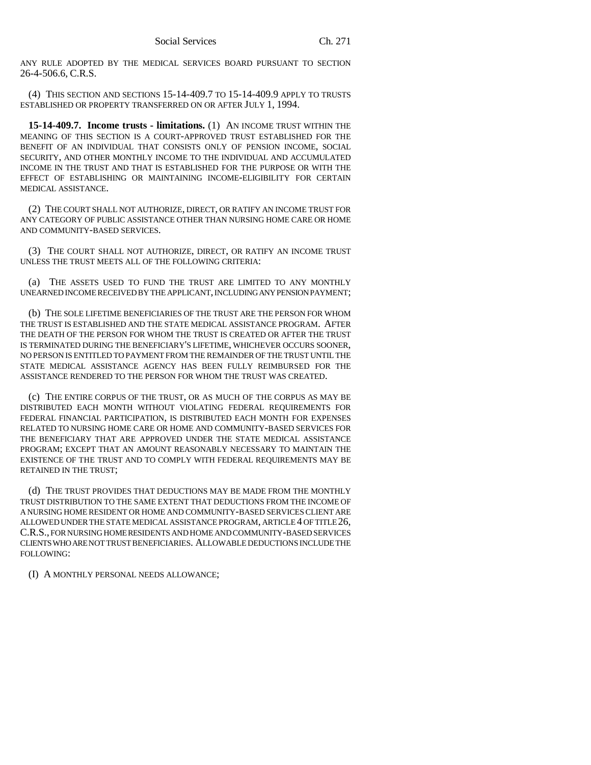ANY RULE ADOPTED BY THE MEDICAL SERVICES BOARD PURSUANT TO SECTION 26-4-506.6, C.R.S.

(4) THIS SECTION AND SECTIONS 15-14-409.7 TO 15-14-409.9 APPLY TO TRUSTS ESTABLISHED OR PROPERTY TRANSFERRED ON OR AFTER JULY 1, 1994.

**15-14-409.7. Income trusts - limitations.** (1) AN INCOME TRUST WITHIN THE MEANING OF THIS SECTION IS A COURT-APPROVED TRUST ESTABLISHED FOR THE BENEFIT OF AN INDIVIDUAL THAT CONSISTS ONLY OF PENSION INCOME, SOCIAL SECURITY, AND OTHER MONTHLY INCOME TO THE INDIVIDUAL AND ACCUMULATED INCOME IN THE TRUST AND THAT IS ESTABLISHED FOR THE PURPOSE OR WITH THE EFFECT OF ESTABLISHING OR MAINTAINING INCOME-ELIGIBILITY FOR CERTAIN MEDICAL ASSISTANCE.

(2) THE COURT SHALL NOT AUTHORIZE, DIRECT, OR RATIFY AN INCOME TRUST FOR ANY CATEGORY OF PUBLIC ASSISTANCE OTHER THAN NURSING HOME CARE OR HOME AND COMMUNITY-BASED SERVICES.

(3) THE COURT SHALL NOT AUTHORIZE, DIRECT, OR RATIFY AN INCOME TRUST UNLESS THE TRUST MEETS ALL OF THE FOLLOWING CRITERIA:

(a) THE ASSETS USED TO FUND THE TRUST ARE LIMITED TO ANY MONTHLY UNEARNED INCOME RECEIVED BY THE APPLICANT, INCLUDING ANY PENSION PAYMENT;

(b) THE SOLE LIFETIME BENEFICIARIES OF THE TRUST ARE THE PERSON FOR WHOM THE TRUST IS ESTABLISHED AND THE STATE MEDICAL ASSISTANCE PROGRAM. AFTER THE DEATH OF THE PERSON FOR WHOM THE TRUST IS CREATED OR AFTER THE TRUST IS TERMINATED DURING THE BENEFICIARY'S LIFETIME, WHICHEVER OCCURS SOONER, NO PERSON IS ENTITLED TO PAYMENT FROM THE REMAINDER OF THE TRUST UNTIL THE STATE MEDICAL ASSISTANCE AGENCY HAS BEEN FULLY REIMBURSED FOR THE ASSISTANCE RENDERED TO THE PERSON FOR WHOM THE TRUST WAS CREATED.

(c) THE ENTIRE CORPUS OF THE TRUST, OR AS MUCH OF THE CORPUS AS MAY BE DISTRIBUTED EACH MONTH WITHOUT VIOLATING FEDERAL REQUIREMENTS FOR FEDERAL FINANCIAL PARTICIPATION, IS DISTRIBUTED EACH MONTH FOR EXPENSES RELATED TO NURSING HOME CARE OR HOME AND COMMUNITY-BASED SERVICES FOR THE BENEFICIARY THAT ARE APPROVED UNDER THE STATE MEDICAL ASSISTANCE PROGRAM; EXCEPT THAT AN AMOUNT REASONABLY NECESSARY TO MAINTAIN THE EXISTENCE OF THE TRUST AND TO COMPLY WITH FEDERAL REQUIREMENTS MAY BE RETAINED IN THE TRUST;

(d) THE TRUST PROVIDES THAT DEDUCTIONS MAY BE MADE FROM THE MONTHLY TRUST DISTRIBUTION TO THE SAME EXTENT THAT DEDUCTIONS FROM THE INCOME OF A NURSING HOME RESIDENT OR HOME AND COMMUNITY-BASED SERVICES CLIENT ARE ALLOWED UNDER THE STATE MEDICAL ASSISTANCE PROGRAM, ARTICLE 4 OF TITLE 26, C.R.S., FOR NURSING HOME RESIDENTS AND HOME AND COMMUNITY-BASED SERVICES CLIENTS WHO ARE NOT TRUST BENEFICIARIES. ALLOWABLE DEDUCTIONS INCLUDE THE FOLLOWING:

(I) A MONTHLY PERSONAL NEEDS ALLOWANCE;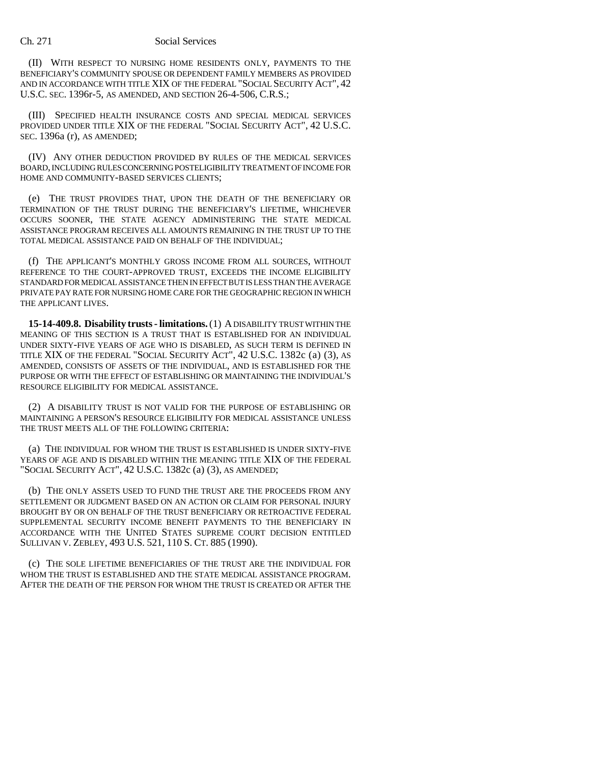(II) WITH RESPECT TO NURSING HOME RESIDENTS ONLY, PAYMENTS TO THE BENEFICIARY'S COMMUNITY SPOUSE OR DEPENDENT FAMILY MEMBERS AS PROVIDED AND IN ACCORDANCE WITH TITLE XIX OF THE FEDERAL "SOCIAL SECURITY ACT", 42 U.S.C. SEC. 1396r-5, AS AMENDED, AND SECTION 26-4-506, C.R.S.;

(III) SPECIFIED HEALTH INSURANCE COSTS AND SPECIAL MEDICAL SERVICES PROVIDED UNDER TITLE XIX OF THE FEDERAL "SOCIAL SECURITY ACT", 42 U.S.C. SEC. 1396a (r), AS AMENDED;

(IV) ANY OTHER DEDUCTION PROVIDED BY RULES OF THE MEDICAL SERVICES BOARD, INCLUDING RULES CONCERNING POSTELIGIBILITY TREATMENT OF INCOME FOR HOME AND COMMUNITY-BASED SERVICES CLIENTS;

(e) THE TRUST PROVIDES THAT, UPON THE DEATH OF THE BENEFICIARY OR TERMINATION OF THE TRUST DURING THE BENEFICIARY'S LIFETIME, WHICHEVER OCCURS SOONER, THE STATE AGENCY ADMINISTERING THE STATE MEDICAL ASSISTANCE PROGRAM RECEIVES ALL AMOUNTS REMAINING IN THE TRUST UP TO THE TOTAL MEDICAL ASSISTANCE PAID ON BEHALF OF THE INDIVIDUAL;

(f) THE APPLICANT'S MONTHLY GROSS INCOME FROM ALL SOURCES, WITHOUT REFERENCE TO THE COURT-APPROVED TRUST, EXCEEDS THE INCOME ELIGIBILITY STANDARD FOR MEDICAL ASSISTANCE THEN IN EFFECT BUT IS LESS THAN THE AVERAGE PRIVATE PAY RATE FOR NURSING HOME CARE FOR THE GEOGRAPHIC REGION IN WHICH THE APPLICANT LIVES.

**15-14-409.8. Disability trusts - limitations.** (1) A DISABILITY TRUST WITHIN THE MEANING OF THIS SECTION IS A TRUST THAT IS ESTABLISHED FOR AN INDIVIDUAL UNDER SIXTY-FIVE YEARS OF AGE WHO IS DISABLED, AS SUCH TERM IS DEFINED IN TITLE XIX OF THE FEDERAL "SOCIAL SECURITY ACT", 42 U.S.C. 1382c (a) (3), AS AMENDED, CONSISTS OF ASSETS OF THE INDIVIDUAL, AND IS ESTABLISHED FOR THE PURPOSE OR WITH THE EFFECT OF ESTABLISHING OR MAINTAINING THE INDIVIDUAL'S RESOURCE ELIGIBILITY FOR MEDICAL ASSISTANCE.

(2) A DISABILITY TRUST IS NOT VALID FOR THE PURPOSE OF ESTABLISHING OR MAINTAINING A PERSON'S RESOURCE ELIGIBILITY FOR MEDICAL ASSISTANCE UNLESS THE TRUST MEETS ALL OF THE FOLLOWING CRITERIA:

(a) THE INDIVIDUAL FOR WHOM THE TRUST IS ESTABLISHED IS UNDER SIXTY-FIVE YEARS OF AGE AND IS DISABLED WITHIN THE MEANING TITLE XIX OF THE FEDERAL "SOCIAL SECURITY ACT", 42 U.S.C. 1382c (a) (3), AS AMENDED;

(b) THE ONLY ASSETS USED TO FUND THE TRUST ARE THE PROCEEDS FROM ANY SETTLEMENT OR JUDGMENT BASED ON AN ACTION OR CLAIM FOR PERSONAL INJURY BROUGHT BY OR ON BEHALF OF THE TRUST BENEFICIARY OR RETROACTIVE FEDERAL SUPPLEMENTAL SECURITY INCOME BENEFIT PAYMENTS TO THE BENEFICIARY IN ACCORDANCE WITH THE UNITED STATES SUPREME COURT DECISION ENTITLED SULLIVAN V. ZEBLEY, 493 U.S. 521, 110 S. CT. 885 (1990).

(c) THE SOLE LIFETIME BENEFICIARIES OF THE TRUST ARE THE INDIVIDUAL FOR WHOM THE TRUST IS ESTABLISHED AND THE STATE MEDICAL ASSISTANCE PROGRAM. AFTER THE DEATH OF THE PERSON FOR WHOM THE TRUST IS CREATED OR AFTER THE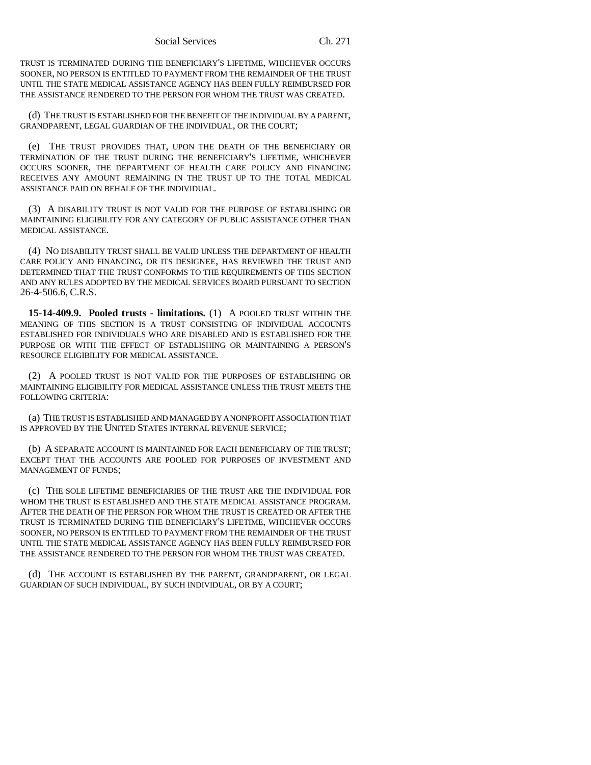TRUST IS TERMINATED DURING THE BENEFICIARY'S LIFETIME, WHICHEVER OCCURS SOONER, NO PERSON IS ENTITLED TO PAYMENT FROM THE REMAINDER OF THE TRUST UNTIL THE STATE MEDICAL ASSISTANCE AGENCY HAS BEEN FULLY REIMBURSED FOR THE ASSISTANCE RENDERED TO THE PERSON FOR WHOM THE TRUST WAS CREATED.

(d) THE TRUST IS ESTABLISHED FOR THE BENEFIT OF THE INDIVIDUAL BY A PARENT, GRANDPARENT, LEGAL GUARDIAN OF THE INDIVIDUAL, OR THE COURT;

(e) THE TRUST PROVIDES THAT, UPON THE DEATH OF THE BENEFICIARY OR TERMINATION OF THE TRUST DURING THE BENEFICIARY'S LIFETIME, WHICHEVER OCCURS SOONER, THE DEPARTMENT OF HEALTH CARE POLICY AND FINANCING RECEIVES ANY AMOUNT REMAINING IN THE TRUST UP TO THE TOTAL MEDICAL ASSISTANCE PAID ON BEHALF OF THE INDIVIDUAL.

(3) A DISABILITY TRUST IS NOT VALID FOR THE PURPOSE OF ESTABLISHING OR MAINTAINING ELIGIBILITY FOR ANY CATEGORY OF PUBLIC ASSISTANCE OTHER THAN MEDICAL ASSISTANCE.

(4) NO DISABILITY TRUST SHALL BE VALID UNLESS THE DEPARTMENT OF HEALTH CARE POLICY AND FINANCING, OR ITS DESIGNEE, HAS REVIEWED THE TRUST AND DETERMINED THAT THE TRUST CONFORMS TO THE REQUIREMENTS OF THIS SECTION AND ANY RULES ADOPTED BY THE MEDICAL SERVICES BOARD PURSUANT TO SECTION 26-4-506.6, C.R.S.

**15-14-409.9. Pooled trusts - limitations.** (1) A POOLED TRUST WITHIN THE MEANING OF THIS SECTION IS A TRUST CONSISTING OF INDIVIDUAL ACCOUNTS ESTABLISHED FOR INDIVIDUALS WHO ARE DISABLED AND IS ESTABLISHED FOR THE PURPOSE OR WITH THE EFFECT OF ESTABLISHING OR MAINTAINING A PERSON'S RESOURCE ELIGIBILITY FOR MEDICAL ASSISTANCE.

(2) A POOLED TRUST IS NOT VALID FOR THE PURPOSES OF ESTABLISHING OR MAINTAINING ELIGIBILITY FOR MEDICAL ASSISTANCE UNLESS THE TRUST MEETS THE FOLLOWING CRITERIA:

(a) THE TRUST IS ESTABLISHED AND MANAGED BY A NONPROFIT ASSOCIATION THAT IS APPROVED BY THE UNITED STATES INTERNAL REVENUE SERVICE;

(b) A SEPARATE ACCOUNT IS MAINTAINED FOR EACH BENEFICIARY OF THE TRUST; EXCEPT THAT THE ACCOUNTS ARE POOLED FOR PURPOSES OF INVESTMENT AND MANAGEMENT OF FUNDS;

(c) THE SOLE LIFETIME BENEFICIARIES OF THE TRUST ARE THE INDIVIDUAL FOR WHOM THE TRUST IS ESTABLISHED AND THE STATE MEDICAL ASSISTANCE PROGRAM. AFTER THE DEATH OF THE PERSON FOR WHOM THE TRUST IS CREATED OR AFTER THE TRUST IS TERMINATED DURING THE BENEFICIARY'S LIFETIME, WHICHEVER OCCURS SOONER, NO PERSON IS ENTITLED TO PAYMENT FROM THE REMAINDER OF THE TRUST UNTIL THE STATE MEDICAL ASSISTANCE AGENCY HAS BEEN FULLY REIMBURSED FOR THE ASSISTANCE RENDERED TO THE PERSON FOR WHOM THE TRUST WAS CREATED.

(d) THE ACCOUNT IS ESTABLISHED BY THE PARENT, GRANDPARENT, OR LEGAL GUARDIAN OF SUCH INDIVIDUAL, BY SUCH INDIVIDUAL, OR BY A COURT;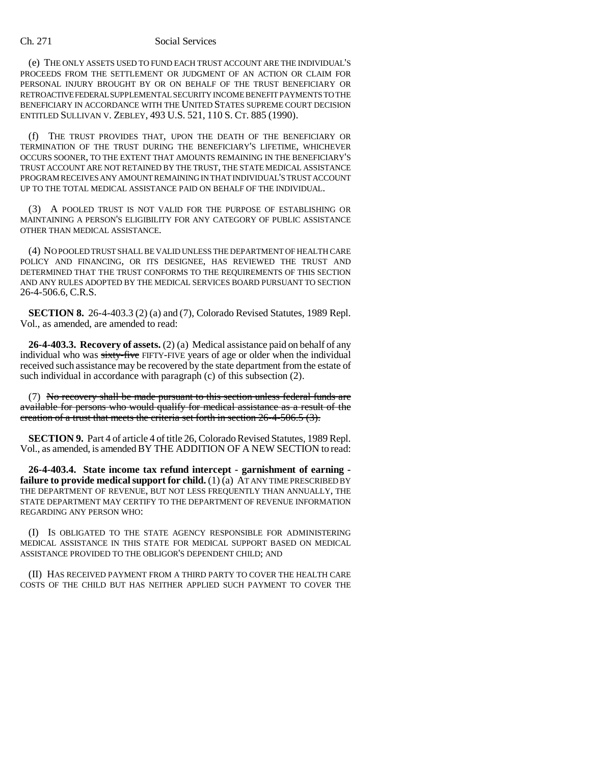(e) THE ONLY ASSETS USED TO FUND EACH TRUST ACCOUNT ARE THE INDIVIDUAL'S PROCEEDS FROM THE SETTLEMENT OR JUDGMENT OF AN ACTION OR CLAIM FOR PERSONAL INJURY BROUGHT BY OR ON BEHALF OF THE TRUST BENEFICIARY OR RETROACTIVE FEDERAL SUPPLEMENTAL SECURITY INCOME BENEFIT PAYMENTS TO THE BENEFICIARY IN ACCORDANCE WITH THE UNITED STATES SUPREME COURT DECISION ENTITLED SULLIVAN V. ZEBLEY, 493 U.S. 521, 110 S. CT. 885 (1990).

(f) THE TRUST PROVIDES THAT, UPON THE DEATH OF THE BENEFICIARY OR TERMINATION OF THE TRUST DURING THE BENEFICIARY'S LIFETIME, WHICHEVER OCCURS SOONER, TO THE EXTENT THAT AMOUNTS REMAINING IN THE BENEFICIARY'S TRUST ACCOUNT ARE NOT RETAINED BY THE TRUST, THE STATE MEDICAL ASSISTANCE PROGRAM RECEIVES ANY AMOUNT REMAINING IN THAT INDIVIDUAL'S TRUST ACCOUNT UP TO THE TOTAL MEDICAL ASSISTANCE PAID ON BEHALF OF THE INDIVIDUAL.

(3) A POOLED TRUST IS NOT VALID FOR THE PURPOSE OF ESTABLISHING OR MAINTAINING A PERSON'S ELIGIBILITY FOR ANY CATEGORY OF PUBLIC ASSISTANCE OTHER THAN MEDICAL ASSISTANCE.

(4) NO POOLED TRUST SHALL BE VALID UNLESS THE DEPARTMENT OF HEALTH CARE POLICY AND FINANCING, OR ITS DESIGNEE, HAS REVIEWED THE TRUST AND DETERMINED THAT THE TRUST CONFORMS TO THE REQUIREMENTS OF THIS SECTION AND ANY RULES ADOPTED BY THE MEDICAL SERVICES BOARD PURSUANT TO SECTION 26-4-506.6, C.R.S.

**SECTION 8.** 26-4-403.3 (2) (a) and (7), Colorado Revised Statutes, 1989 Repl. Vol., as amended, are amended to read:

**26-4-403.3. Recovery of assets.** (2) (a) Medical assistance paid on behalf of any individual who was sixty-five FIFTY-FIVE years of age or older when the individual received such assistance may be recovered by the state department from the estate of such individual in accordance with paragraph (c) of this subsection (2).

(7) No recovery shall be made pursuant to this section unless federal funds are available for persons who would qualify for medical assistance as a result of the creation of a trust that meets the criteria set forth in section 26-4-506.5 (3).

**SECTION 9.** Part 4 of article 4 of title 26, Colorado Revised Statutes, 1989 Repl. Vol., as amended, is amended BY THE ADDITION OF A NEW SECTION to read:

**26-4-403.4. State income tax refund intercept - garnishment of earning failure to provide medical support for child.** (1) (a) AT ANY TIME PRESCRIBED BY THE DEPARTMENT OF REVENUE, BUT NOT LESS FREQUENTLY THAN ANNUALLY, THE STATE DEPARTMENT MAY CERTIFY TO THE DEPARTMENT OF REVENUE INFORMATION REGARDING ANY PERSON WHO:

(I) IS OBLIGATED TO THE STATE AGENCY RESPONSIBLE FOR ADMINISTERING MEDICAL ASSISTANCE IN THIS STATE FOR MEDICAL SUPPORT BASED ON MEDICAL ASSISTANCE PROVIDED TO THE OBLIGOR'S DEPENDENT CHILD; AND

(II) HAS RECEIVED PAYMENT FROM A THIRD PARTY TO COVER THE HEALTH CARE COSTS OF THE CHILD BUT HAS NEITHER APPLIED SUCH PAYMENT TO COVER THE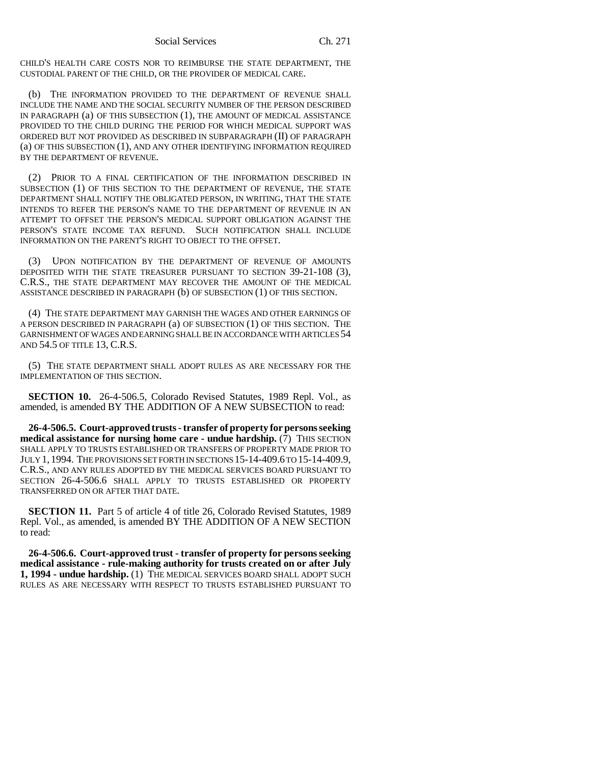CHILD'S HEALTH CARE COSTS NOR TO REIMBURSE THE STATE DEPARTMENT, THE CUSTODIAL PARENT OF THE CHILD, OR THE PROVIDER OF MEDICAL CARE.

(b) THE INFORMATION PROVIDED TO THE DEPARTMENT OF REVENUE SHALL INCLUDE THE NAME AND THE SOCIAL SECURITY NUMBER OF THE PERSON DESCRIBED IN PARAGRAPH (a) OF THIS SUBSECTION (1), THE AMOUNT OF MEDICAL ASSISTANCE PROVIDED TO THE CHILD DURING THE PERIOD FOR WHICH MEDICAL SUPPORT WAS ORDERED BUT NOT PROVIDED AS DESCRIBED IN SUBPARAGRAPH (II) OF PARAGRAPH (a) OF THIS SUBSECTION (1), AND ANY OTHER IDENTIFYING INFORMATION REQUIRED BY THE DEPARTMENT OF REVENUE.

(2) PRIOR TO A FINAL CERTIFICATION OF THE INFORMATION DESCRIBED IN SUBSECTION (1) OF THIS SECTION TO THE DEPARTMENT OF REVENUE, THE STATE DEPARTMENT SHALL NOTIFY THE OBLIGATED PERSON, IN WRITING, THAT THE STATE INTENDS TO REFER THE PERSON'S NAME TO THE DEPARTMENT OF REVENUE IN AN ATTEMPT TO OFFSET THE PERSON'S MEDICAL SUPPORT OBLIGATION AGAINST THE PERSON'S STATE INCOME TAX REFUND. SUCH NOTIFICATION SHALL INCLUDE INFORMATION ON THE PARENT'S RIGHT TO OBJECT TO THE OFFSET.

(3) UPON NOTIFICATION BY THE DEPARTMENT OF REVENUE OF AMOUNTS DEPOSITED WITH THE STATE TREASURER PURSUANT TO SECTION 39-21-108 (3), C.R.S., THE STATE DEPARTMENT MAY RECOVER THE AMOUNT OF THE MEDICAL ASSISTANCE DESCRIBED IN PARAGRAPH (b) OF SUBSECTION (1) OF THIS SECTION.

(4) THE STATE DEPARTMENT MAY GARNISH THE WAGES AND OTHER EARNINGS OF A PERSON DESCRIBED IN PARAGRAPH (a) OF SUBSECTION (1) OF THIS SECTION. THE GARNISHMENT OF WAGES AND EARNING SHALL BE IN ACCORDANCE WITH ARTICLES 54 AND 54.5 OF TITLE 13, C.R.S.

(5) THE STATE DEPARTMENT SHALL ADOPT RULES AS ARE NECESSARY FOR THE IMPLEMENTATION OF THIS SECTION.

**SECTION 10.** 26-4-506.5, Colorado Revised Statutes, 1989 Repl. Vol., as amended, is amended BY THE ADDITION OF A NEW SUBSECTION to read:

**26-4-506.5. Court-approved trusts - transfer of property for persons seeking medical assistance for nursing home care - undue hardship.** (7) THIS SECTION SHALL APPLY TO TRUSTS ESTABLISHED OR TRANSFERS OF PROPERTY MADE PRIOR TO JULY 1, 1994. THE PROVISIONS SET FORTH IN SECTIONS 15-14-409.6 TO 15-14-409.9, C.R.S., AND ANY RULES ADOPTED BY THE MEDICAL SERVICES BOARD PURSUANT TO SECTION 26-4-506.6 SHALL APPLY TO TRUSTS ESTABLISHED OR PROPERTY TRANSFERRED ON OR AFTER THAT DATE.

**SECTION 11.** Part 5 of article 4 of title 26, Colorado Revised Statutes, 1989 Repl. Vol., as amended, is amended BY THE ADDITION OF A NEW SECTION to read:

**26-4-506.6. Court-approved trust - transfer of property for persons seeking medical assistance - rule-making authority for trusts created on or after July 1, 1994 - undue hardship.** (1) THE MEDICAL SERVICES BOARD SHALL ADOPT SUCH RULES AS ARE NECESSARY WITH RESPECT TO TRUSTS ESTABLISHED PURSUANT TO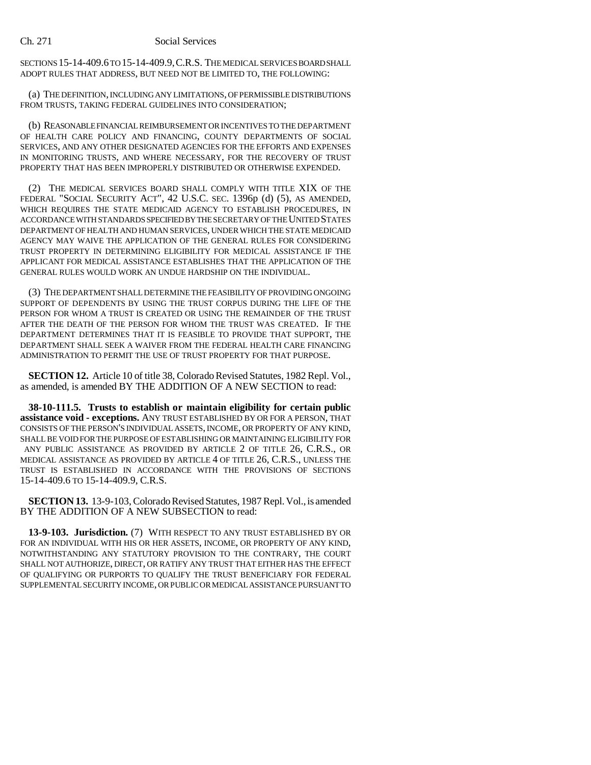SECTIONS 15-14-409.6 TO 15-14-409.9,C.R.S. THE MEDICAL SERVICES BOARD SHALL ADOPT RULES THAT ADDRESS, BUT NEED NOT BE LIMITED TO, THE FOLLOWING:

(a) THE DEFINITION, INCLUDING ANY LIMITATIONS, OF PERMISSIBLE DISTRIBUTIONS FROM TRUSTS, TAKING FEDERAL GUIDELINES INTO CONSIDERATION;

(b) REASONABLE FINANCIAL REIMBURSEMENT OR INCENTIVES TO THE DEPARTMENT OF HEALTH CARE POLICY AND FINANCING, COUNTY DEPARTMENTS OF SOCIAL SERVICES, AND ANY OTHER DESIGNATED AGENCIES FOR THE EFFORTS AND EXPENSES IN MONITORING TRUSTS, AND WHERE NECESSARY, FOR THE RECOVERY OF TRUST PROPERTY THAT HAS BEEN IMPROPERLY DISTRIBUTED OR OTHERWISE EXPENDED.

(2) THE MEDICAL SERVICES BOARD SHALL COMPLY WITH TITLE XIX OF THE FEDERAL "SOCIAL SECURITY ACT", 42 U.S.C. SEC. 1396p (d) (5), AS AMENDED, WHICH REQUIRES THE STATE MEDICAID AGENCY TO ESTABLISH PROCEDURES, IN ACCORDANCE WITH STANDARDS SPECIFIED BY THE SECRETARY OF THE UNITED STATES DEPARTMENT OF HEALTH AND HUMAN SERVICES, UNDER WHICH THE STATE MEDICAID AGENCY MAY WAIVE THE APPLICATION OF THE GENERAL RULES FOR CONSIDERING TRUST PROPERTY IN DETERMINING ELIGIBILITY FOR MEDICAL ASSISTANCE IF THE APPLICANT FOR MEDICAL ASSISTANCE ESTABLISHES THAT THE APPLICATION OF THE GENERAL RULES WOULD WORK AN UNDUE HARDSHIP ON THE INDIVIDUAL.

(3) THE DEPARTMENT SHALL DETERMINE THE FEASIBILITY OF PROVIDING ONGOING SUPPORT OF DEPENDENTS BY USING THE TRUST CORPUS DURING THE LIFE OF THE PERSON FOR WHOM A TRUST IS CREATED OR USING THE REMAINDER OF THE TRUST AFTER THE DEATH OF THE PERSON FOR WHOM THE TRUST WAS CREATED. IF THE DEPARTMENT DETERMINES THAT IT IS FEASIBLE TO PROVIDE THAT SUPPORT, THE DEPARTMENT SHALL SEEK A WAIVER FROM THE FEDERAL HEALTH CARE FINANCING ADMINISTRATION TO PERMIT THE USE OF TRUST PROPERTY FOR THAT PURPOSE.

**SECTION 12.** Article 10 of title 38, Colorado Revised Statutes, 1982 Repl. Vol., as amended, is amended BY THE ADDITION OF A NEW SECTION to read:

**38-10-111.5. Trusts to establish or maintain eligibility for certain public assistance void - exceptions.** ANY TRUST ESTABLISHED BY OR FOR A PERSON, THAT CONSISTS OF THE PERSON'S INDIVIDUAL ASSETS, INCOME, OR PROPERTY OF ANY KIND, SHALL BE VOID FOR THE PURPOSE OF ESTABLISHING OR MAINTAINING ELIGIBILITY FOR ANY PUBLIC ASSISTANCE AS PROVIDED BY ARTICLE 2 OF TITLE 26, C.R.S., OR MEDICAL ASSISTANCE AS PROVIDED BY ARTICLE 4 OF TITLE 26, C.R.S., UNLESS THE TRUST IS ESTABLISHED IN ACCORDANCE WITH THE PROVISIONS OF SECTIONS 15-14-409.6 TO 15-14-409.9, C.R.S.

**SECTION 13.** 13-9-103, Colorado Revised Statutes, 1987 Repl. Vol., is amended BY THE ADDITION OF A NEW SUBSECTION to read:

**13-9-103. Jurisdiction.** (7) WITH RESPECT TO ANY TRUST ESTABLISHED BY OR FOR AN INDIVIDUAL WITH HIS OR HER ASSETS, INCOME, OR PROPERTY OF ANY KIND, NOTWITHSTANDING ANY STATUTORY PROVISION TO THE CONTRARY, THE COURT SHALL NOT AUTHORIZE, DIRECT, OR RATIFY ANY TRUST THAT EITHER HAS THE EFFECT OF QUALIFYING OR PURPORTS TO QUALIFY THE TRUST BENEFICIARY FOR FEDERAL SUPPLEMENTAL SECURITY INCOME, OR PUBLIC OR MEDICAL ASSISTANCE PURSUANT TO